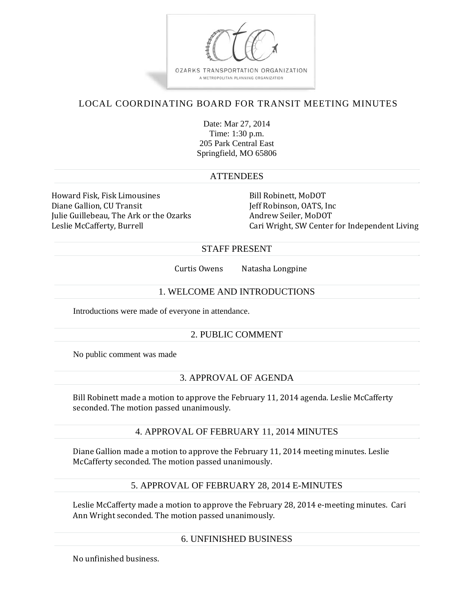

# LOCAL COORDINATING BOARD FOR TRANSIT MEETING MINUTES

Date: Mar 27, 2014 Time: 1:30 p.m. 205 Park Central East Springfield, MO 65806

#### **ATTENDEES**

Howard Fisk, Fisk Limousines Bill Robinett, MoDOT Diane Gallion, CU Transit The Contract Section of the United States of Robinson, OATS, Inc. Julie Guillebeau, The Ark or the Ozarks Andrew Seiler, MoDOT

Leslie McCafferty, Burrell **Cari Wright, SW** Center for Independent Living

## STAFF PRESENT

Curtis Owens Natasha Longpine

#### 1. WELCOME AND INTRODUCTIONS

Introductions were made of everyone in attendance.

## 2. PUBLIC COMMENT

No public comment was made

## 3. APPROVAL OF AGENDA

Bill Robinett made a motion to approve the February 11, 2014 agenda. Leslie McCafferty seconded. The motion passed unanimously.

## 4. APPROVAL OF FEBRUARY 11, 2014 MINUTES

Diane Gallion made a motion to approve the February 11, 2014 meeting minutes. Leslie McCafferty seconded. The motion passed unanimously.

## 5. APPROVAL OF FEBRUARY 28, 2014 E-MINUTES

Leslie McCafferty made a motion to approve the February 28, 2014 e-meeting minutes. Cari Ann Wright seconded. The motion passed unanimously.

#### 6. UNFINISHED BUSINESS

No unfinished business.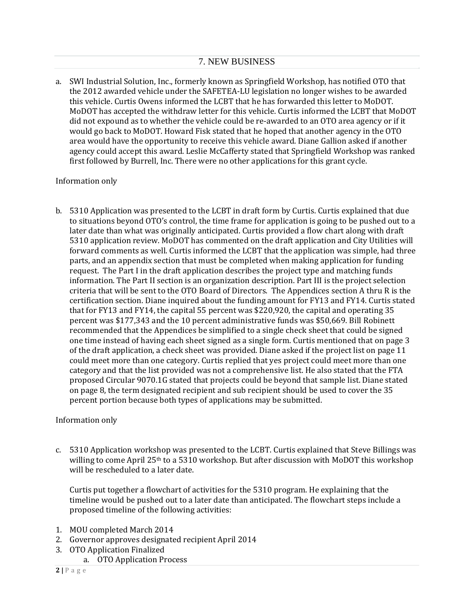a. SWI Industrial Solution, Inc., formerly known as Springfield Workshop, has notified OTO that the 2012 awarded vehicle under the SAFETEA-LU legislation no longer wishes to be awarded this vehicle. Curtis Owens informed the LCBT that he has forwarded this letter to MoDOT. MoDOT has accepted the withdraw letter for this vehicle. Curtis informed the LCBT that MoDOT did not expound as to whether the vehicle could be re-awarded to an OTO area agency or if it would go back to MoDOT. Howard Fisk stated that he hoped that another agency in the OTO area would have the opportunity to receive this vehicle award. Diane Gallion asked if another agency could accept this award. Leslie McCafferty stated that Springfield Workshop was ranked first followed by Burrell, Inc. There were no other applications for this grant cycle.

# Information only

b. 5310 Application was presented to the LCBT in draft form by Curtis. Curtis explained that due to situations beyond OTO's control, the time frame for application is going to be pushed out to a later date than what was originally anticipated. Curtis provided a flow chart along with draft 5310 application review. MoDOT has commented on the draft application and City Utilities will forward comments as well. Curtis informed the LCBT that the application was simple, had three parts, and an appendix section that must be completed when making application for funding request. The Part I in the draft application describes the project type and matching funds information. The Part II section is an organization description. Part III is the project selection criteria that will be sent to the OTO Board of Directors. The Appendices section A thru R is the certification section. Diane inquired about the funding amount for FY13 and FY14. Curtis stated that for FY13 and FY14, the capital  $55$  percent was \$220,920, the capital and operating 35 percent was \$177,343 and the 10 percent administrative funds was \$50,669. Bill Robinett recommended that the Appendices be simplified to a single check sheet that could be signed one time instead of having each sheet signed as a single form. Curtis mentioned that on page 3 of the draft application, a check sheet was provided. Diane asked if the project list on page 11 could meet more than one category. Curtis replied that yes project could meet more than one category and that the list provided was not a comprehensive list. He also stated that the FTA proposed Circular 9070.1G stated that projects could be beyond that sample list. Diane stated on page 8, the term designated recipient and sub recipient should be used to cover the 35 percent portion because both types of applications may be submitted.

## Information only

c. 5310 Application workshop was presented to the LCBT. Curtis explained that Steve Billings was willing to come April 25<sup>th</sup> to a 5310 workshop. But after discussion with MoDOT this workshop will be rescheduled to a later date.

Curtis put together a flowchart of activities for the  $5310$  program. He explaining that the timeline would be pushed out to a later date than anticipated. The flowchart steps include a proposed timeline of the following activities:

- 1. MOU completed March 2014
- 2. Governor approves designated recipient April 2014
- 3. OTO Application Finalized
	- a. OTO Application Process